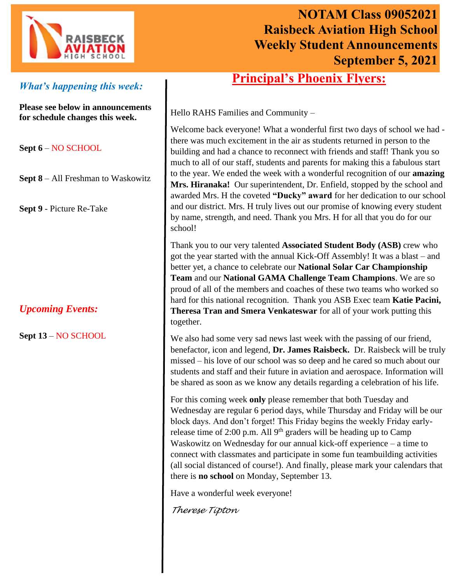

# **NOTAM Class 09052021 Raisbeck Aviation High School Weekly Student Announcements September 5, 2021**

# *What's happening this week:*

**Please see below in announcements for schedule changes this week.**

**Sept 6** – NO SCHOOL

- **Sept 8** All Freshman to Waskowitz
- **Sept 9** Picture Re-Take

# *Upcoming Events:*

**Sept 13** – NO SCHOOL

# **Principal's Phoenix Flyers:**

Hello RAHS Families and Community –

Welcome back everyone! What a wonderful first two days of school we had there was much excitement in the air as students returned in person to the building and had a chance to reconnect with friends and staff! Thank you so much to all of our staff, students and parents for making this a fabulous start to the year. We ended the week with a wonderful recognition of our **amazing Mrs. Hiranaka!** Our superintendent, Dr. Enfield, stopped by the school and awarded Mrs. H the coveted **"Ducky" award** for her dedication to our school and our district. Mrs. H truly lives out our promise of knowing every student by name, strength, and need. Thank you Mrs. H for all that you do for our school!

Thank you to our very talented **Associated Student Body (ASB)** crew who got the year started with the annual Kick-Off Assembly! It was a blast – and better yet, a chance to celebrate our **National Solar Car Championship Team** and our **National GAMA Challenge Team Champions**. We are so proud of all of the members and coaches of these two teams who worked so hard for this national recognition. Thank you ASB Exec team **Katie Pacini, Theresa Tran and Smera Venkateswar** for all of your work putting this together.

We also had some very sad news last week with the passing of our friend, benefactor, icon and legend, **Dr. James Raisbeck.** Dr. Raisbeck will be truly missed – his love of our school was so deep and he cared so much about our students and staff and their future in aviation and aerospace. Information will be shared as soon as we know any details regarding a celebration of his life.

For this coming week **only** please remember that both Tuesday and Wednesday are regular 6 period days, while Thursday and Friday will be our block days. And don't forget! This Friday begins the weekly Friday earlyrelease time of 2:00 p.m. All  $9<sup>th</sup>$  graders will be heading up to Camp Waskowitz on Wednesday for our annual kick-off experience – a time to connect with classmates and participate in some fun teambuilding activities (all social distanced of course!). And finally, please mark your calendars that there is **no school** on Monday, September 13.

Have a wonderful week everyone!

*Therese Tipton*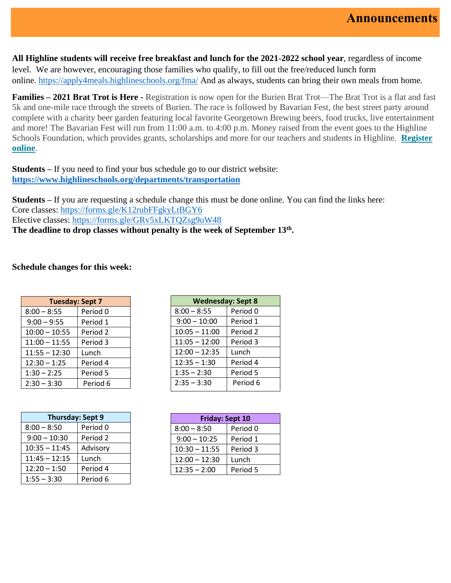**All Highline students will receive free breakfast and lunch for the 2021-2022 school year**, regardless of income level. We are however, encouraging those families who qualify, to fill out the free/reduced lunch form online. [https://apply4meals.highlineschools.org/fma/](https://nam10.safelinks.protection.outlook.com/?url=https%3A%2F%2Fapply4meals.highlineschools.org%2Ffma%2F&data=04%7C01%7CTrish.McGuire%40highlineschools.org%7Cacf76fe2d5e740e059b408d96b5d3a1c%7Ce56e55358e7b44d0bfa81d50833ab846%7C1%7C0%7C637658870418879794%7CUnknown%7CTWFpbGZsb3d8eyJWIjoiMC4wLjAwMDAiLCJQIjoiV2luMzIiLCJBTiI6Ik1haWwiLCJXVCI6Mn0%3D%7C1000&sdata=PXm9%2FbLf7dKk2F5HFrjD8RVU712WFkcdFJmXSomnQuM%3D&reserved=0) And as always, students can bring their own meals from home.

**Families – 2021 Brat Trot is Here -** Registration is now open for the Burien Brat Trot—The Brat Trot is a flat and fast 5k and one-mile race through the streets of Burien. The race is followed by Bavarian Fest, the best street party around complete with a charity beer garden featuring local favorite Georgetown Brewing beers, food trucks, live entertainment and more! The Bavarian Fest will run from 11:00 a.m. to 4:00 p.m. Money raised from the event goes to the Highline Schools Foundation, which provides grants, scholarships and more for our teachers and students in Highline. **[Register](http://highlineschoolsfoundation.org/brat-trot-bavarian-fest/)  [online](http://highlineschoolsfoundation.org/brat-trot-bavarian-fest/)**.

**Students –** If you need to find your bus schedule go to our district website: **<https://www.highlineschools.org/departments/transportation>**

**Students –** If you are requesting a schedule change this must be done online. You can find the links here: Core classes: [https://forms.gle/K12rubFFgkyLtBGY6](https://nam10.safelinks.protection.outlook.com/?url=https%3A%2F%2Fforms.gle%2FK12rubFFgkyLtBGY6&data=04%7C01%7CTrish.McGuire%40highlineschools.org%7Ca20ebfe7dcaa4fc8c94b08d96678b06c%7Ce56e55358e7b44d0bfa81d50833ab846%7C1%7C0%7C637653490799568275%7CUnknown%7CTWFpbGZsb3d8eyJWIjoiMC4wLjAwMDAiLCJQIjoiV2luMzIiLCJBTiI6Ik1haWwiLCJXVCI6Mn0%3D%7C1000&sdata=t%2BqIVWx%2FZaHyeHn4WQtRHF304crk%2BM58gkPu%2B88kDB0%3D&reserved=0) Elective classes: [https://forms.gle/GRv5xLKTQZsg9uW48](https://nam10.safelinks.protection.outlook.com/?url=https%3A%2F%2Fforms.gle%2FGRv5xLKTQZsg9uW48&data=04%7C01%7CTrish.McGuire%40highlineschools.org%7Ca20ebfe7dcaa4fc8c94b08d96678b06c%7Ce56e55358e7b44d0bfa81d50833ab846%7C1%7C0%7C637653490799578227%7CUnknown%7CTWFpbGZsb3d8eyJWIjoiMC4wLjAwMDAiLCJQIjoiV2luMzIiLCJBTiI6Ik1haWwiLCJXVCI6Mn0%3D%7C1000&sdata=4YmSpgjOrn7wksoRn38vlj5gwa389%2BZKDWqUDfHh5Kw%3D&reserved=0) **The deadline to drop classes without penalty is the week of September 13th .**

#### **Schedule changes for this week:**

| <b>Tuesday: Sept 7</b> |          |  |
|------------------------|----------|--|
| $8:00 - 8:55$          | Period 0 |  |
| $9:00 - 9:55$          | Period 1 |  |
| $10:00 - 10:55$        | Period 2 |  |
| $11:00 - 11:55$        | Period 3 |  |
| $11:55 - 12:30$        | Lunch    |  |
| $12:30 - 1:25$         | Period 4 |  |
| $1:30 - 2:25$          | Period 5 |  |
| $2:30 - 3:30$          | Period 6 |  |

| <b>Thursday: Sept 9</b> |                     |  |
|-------------------------|---------------------|--|
| $8:00 - 8:50$           | Period <sub>0</sub> |  |
| $9:00 - 10:30$          | Period 2            |  |
| $10:35 - 11:45$         | Advisory            |  |
| $11:45 - 12:15$         | Lunch               |  |
| $12:20 - 1:50$          | Period 4            |  |
| $1:55 - 3:30$           | Period 6            |  |

| <b>Wednesday: Sept 8</b> |          |  |
|--------------------------|----------|--|
| $8:00 - 8:55$            | Period 0 |  |
| $9:00 - 10:00$           | Period 1 |  |
| $10:05 - 11:00$          | Period 2 |  |
| $11:05 - 12:00$          | Period 3 |  |
| $12:00 - 12:35$          | Lunch    |  |
| $12:35 - 1:30$           | Period 4 |  |
| $1:35 - 2:30$            | Period 5 |  |
| $2:35 - 3:30$            | Period 6 |  |
|                          |          |  |

| <b>Friday: Sept 10</b> |          |  |
|------------------------|----------|--|
| $8:00 - 8:50$          | Period 0 |  |
| $9:00 - 10:25$         | Period 1 |  |
| $10:30 - 11:55$        | Period 3 |  |
| $12:00 - 12:30$        | Lunch    |  |
| $12:35 - 2:00$         | Period 5 |  |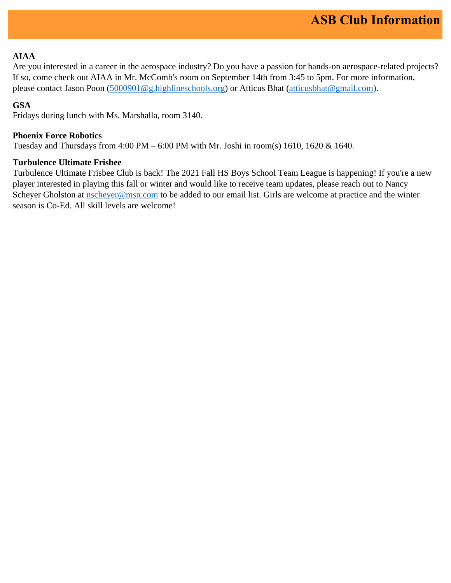## **AIAA**

Are you interested in a career in the aerospace industry? Do you have a passion for hands-on aerospace-related projects? If so, come check out AIAA in Mr. McComb's room on September 14th from 3:45 to 5pm. For more information, please contact Jason Poon [\(5000901@g.highlineschools.org\)](mailto:5000901@g.highlineschools.org) or Atticus Bhat [\(atticusbhat@gmail.com\)](mailto:atticusbhat@gmail.com).

## **GSA**

Fridays during lunch with Ms. Marshalla, room 3140.

### **Phoenix Force Robotics**

Tuesday and Thursdays from 4:00 PM – 6:00 PM with Mr. Joshi in room(s) 1610, 1620 & 1640.

### **Turbulence Ultimate Frisbee**

Turbulence Ultimate Frisbee Club is back! The 2021 Fall HS Boys School Team League is happening! If you're a new player interested in playing this fall or winter and would like to receive team updates, please reach out to Nancy Scheyer Gholston at [nscheyer@msn.com](mailto:nscheyer@msn.com) to be added to our email list. Girls are welcome at practice and the winter season is Co-Ed. All skill levels are welcome!